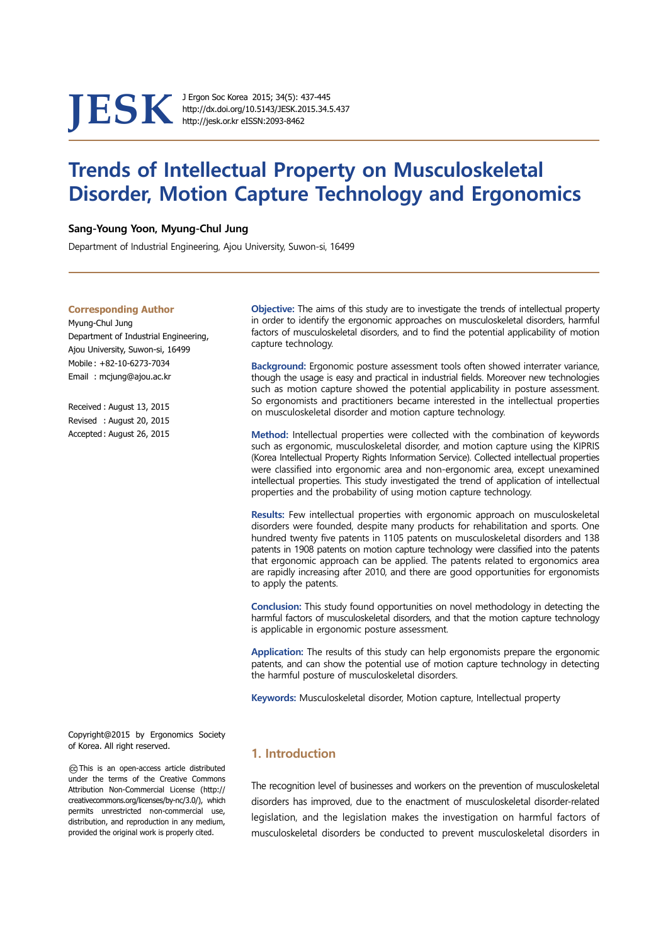**JESK** J Ergon Soc Korea 2015; 34(5): 437-445<br>http://dx.doi.org/10.5143/JESK.2015.34.<br>http://jesk.or.kr eISSN:2093-8462

http://dx.doi.org/10.5143/JESK.2015.34.5.437 http://jesk.or.kr eISSN:2093-8462

# **Trends of Intellectual Property on Musculoskeletal Disorder, Motion Capture Technology and Ergonomics**

## **Sang-Young Yoon, Myung-Chul Jung**

Department of Industrial Engineering, Ajou University, Suwon-si, 16499

#### **Corresponding Author**

Myung-Chul Jung Department of Industrial Engineering, Ajou University, Suwon-si, 16499 Mobile : +82-10-6273-7034 Email : mcjung@ajou.ac.kr

Received : August 13, 2015 Revised : August 20, 2015 Accepted : August 26, 2015

in order to identify the ergonomic approaches on musculoskeletal disorders, harmful factors of musculoskeletal disorders, and to find the potential applicability of motion capture technology.

 **Objective:** The aims of this study are to investigate the trends of intellectual property

**Background:** Ergonomic posture assessment tools often showed interrater variance, though the usage is easy and practical in industrial fields. Moreover new technologies such as motion capture showed the potential applicability in posture assessment. So ergonomists and practitioners became interested in the intellectual properties on musculoskeletal disorder and motion capture technology.

**Method:** Intellectual properties were collected with the combination of keywords such as ergonomic, musculoskeletal disorder, and motion capture using the KIPRIS (Korea Intellectual Property Rights Information Service). Collected intellectual properties were classified into ergonomic area and non-ergonomic area, except unexamined intellectual properties. This study investigated the trend of application of intellectual properties and the probability of using motion capture technology.

**Results:** Few intellectual properties with ergonomic approach on musculoskeletal disorders were founded, despite many products for rehabilitation and sports. One hundred twenty five patents in 1105 patents on musculoskeletal disorders and 138 patents in 1908 patents on motion capture technology were classified into the patents that ergonomic approach can be applied. The patents related to ergonomics area are rapidly increasing after 2010, and there are good opportunities for ergonomists to apply the patents.

**Conclusion:** This study found opportunities on novel methodology in detecting the harmful factors of musculoskeletal disorders, and that the motion capture technology is applicable in ergonomic posture assessment.

**Application:** The results of this study can help ergonomists prepare the ergonomic patents, and can show the potential use of motion capture technology in detecting the harmful posture of musculoskeletal disorders.

**Keywords:** Musculoskeletal disorder, Motion capture, Intellectual property

Copyright@2015 by Ergonomics Society of Korea. All right reserved.

○cc This is an open-access article distributed under the terms of the Creative Commons Attribution Non-Commercial License (http:// creativecommons.org/licenses/by-nc/3.0/), which permits unrestricted non-commercial use, distribution, and reproduction in any medium, provided the original work is properly cited.

# **1. Introduction**

The recognition level of businesses and workers on the prevention of musculoskeletal disorders has improved, due to the enactment of musculoskeletal disorder-related legislation, and the legislation makes the investigation on harmful factors of musculoskeletal disorders be conducted to prevent musculoskeletal disorders in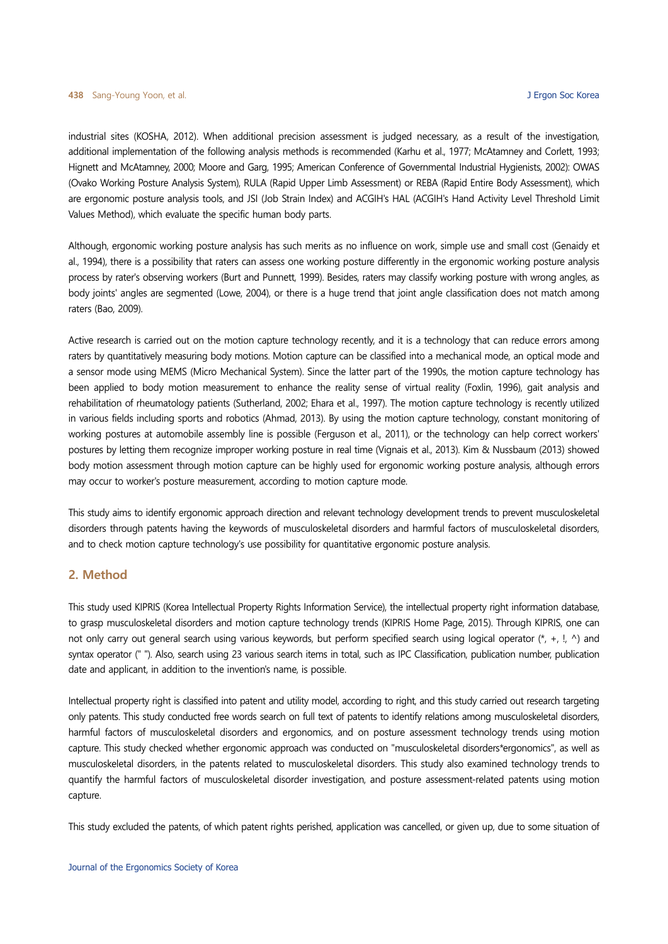industrial sites (KOSHA, 2012). When additional precision assessment is judged necessary, as a result of the investigation, additional implementation of the following analysis methods is recommended (Karhu et al., 1977; McAtamney and Corlett, 1993; Hignett and McAtamney, 2000; Moore and Garg, 1995; American Conference of Governmental Industrial Hygienists, 2002): OWAS (Ovako Working Posture Analysis System), RULA (Rapid Upper Limb Assessment) or REBA (Rapid Entire Body Assessment), which are ergonomic posture analysis tools, and JSI (Job Strain Index) and ACGIH's HAL (ACGIH's Hand Activity Level Threshold Limit Values Method), which evaluate the specific human body parts.

Although, ergonomic working posture analysis has such merits as no influence on work, simple use and small cost (Genaidy et al., 1994), there is a possibility that raters can assess one working posture differently in the ergonomic working posture analysis process by rater's observing workers (Burt and Punnett, 1999). Besides, raters may classify working posture with wrong angles, as body joints' angles are segmented (Lowe, 2004), or there is a huge trend that joint angle classification does not match among raters (Bao, 2009).

Active research is carried out on the motion capture technology recently, and it is a technology that can reduce errors among raters by quantitatively measuring body motions. Motion capture can be classified into a mechanical mode, an optical mode and a sensor mode using MEMS (Micro Mechanical System). Since the latter part of the 1990s, the motion capture technology has been applied to body motion measurement to enhance the reality sense of virtual reality (Foxlin, 1996), gait analysis and rehabilitation of rheumatology patients (Sutherland, 2002; Ehara et al., 1997). The motion capture technology is recently utilized in various fields including sports and robotics (Ahmad, 2013). By using the motion capture technology, constant monitoring of working postures at automobile assembly line is possible (Ferguson et al., 2011), or the technology can help correct workers' postures by letting them recognize improper working posture in real time (Vignais et al., 2013). Kim & Nussbaum (2013) showed body motion assessment through motion capture can be highly used for ergonomic working posture analysis, although errors may occur to worker's posture measurement, according to motion capture mode.

This study aims to identify ergonomic approach direction and relevant technology development trends to prevent musculoskeletal disorders through patents having the keywords of musculoskeletal disorders and harmful factors of musculoskeletal disorders, and to check motion capture technology's use possibility for quantitative ergonomic posture analysis.

# **2. Method**

This study used KIPRIS (Korea Intellectual Property Rights Information Service), the intellectual property right information database, to grasp musculoskeletal disorders and motion capture technology trends (KIPRIS Home Page, 2015). Through KIPRIS, one can not only carry out general search using various keywords, but perform specified search using logical operator  $(*, +, !, \wedge)$  and syntax operator (" "). Also, search using 23 various search items in total, such as IPC Classification, publication number, publication date and applicant, in addition to the invention's name, is possible.

Intellectual property right is classified into patent and utility model, according to right, and this study carried out research targeting only patents. This study conducted free words search on full text of patents to identify relations among musculoskeletal disorders, harmful factors of musculoskeletal disorders and ergonomics, and on posture assessment technology trends using motion capture. This study checked whether ergonomic approach was conducted on "musculoskeletal disorders\*ergonomics", as well as musculoskeletal disorders, in the patents related to musculoskeletal disorders. This study also examined technology trends to quantify the harmful factors of musculoskeletal disorder investigation, and posture assessment-related patents using motion capture.

This study excluded the patents, of which patent rights perished, application was cancelled, or given up, due to some situation of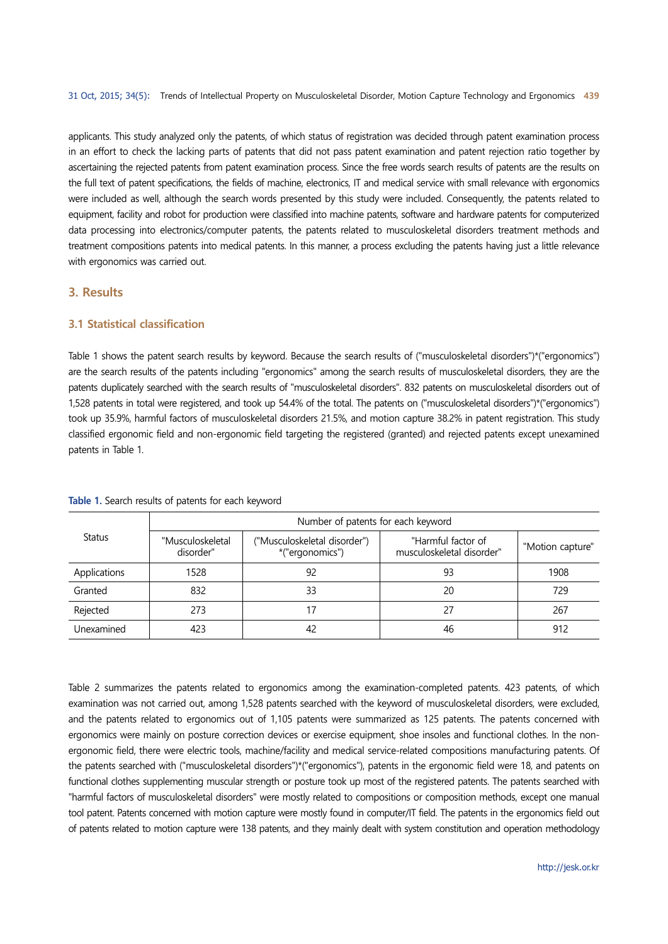applicants. This study analyzed only the patents, of which status of registration was decided through patent examination process in an effort to check the lacking parts of patents that did not pass patent examination and patent rejection ratio together by ascertaining the rejected patents from patent examination process. Since the free words search results of patents are the results on the full text of patent specifications, the fields of machine, electronics, IT and medical service with small relevance with ergonomics were included as well, although the search words presented by this study were included. Consequently, the patents related to equipment, facility and robot for production were classified into machine patents, software and hardware patents for computerized data processing into electronics/computer patents, the patents related to musculoskeletal disorders treatment methods and treatment compositions patents into medical patents. In this manner, a process excluding the patents having just a little relevance with ergonomics was carried out.

# **3. Results**

## **3.1 Statistical classification**

Table 1 shows the patent search results by keyword. Because the search results of ("musculoskeletal disorders")\*("ergonomics") are the search results of the patents including "ergonomics" among the search results of musculoskeletal disorders, they are the patents duplicately searched with the search results of "musculoskeletal disorders". 832 patents on musculoskeletal disorders out of 1,528 patents in total were registered, and took up 54.4% of the total. The patents on ("musculoskeletal disorders")\*("ergonomics") took up 35.9%, harmful factors of musculoskeletal disorders 21.5%, and motion capture 38.2% in patent registration. This study classified ergonomic field and non-ergonomic field targeting the registered (granted) and rejected patents except unexamined patents in Table 1.

|               | Number of patents for each keyword                                               |    |                                                 |                  |  |  |  |
|---------------|----------------------------------------------------------------------------------|----|-------------------------------------------------|------------------|--|--|--|
| <b>Status</b> | ("Musculoskeletal disorder")<br>"Musculoskeletal<br>*("ergonomics")<br>disorder" |    | "Harmful factor of<br>musculoskeletal disorder" | "Motion capture" |  |  |  |
| Applications  | 1528                                                                             | 92 | 93                                              | 1908             |  |  |  |
| Granted       | 832                                                                              | 33 | 20                                              | 729              |  |  |  |
| Rejected      | 273                                                                              | 17 | 27                                              | 267              |  |  |  |
| Unexamined    | 423                                                                              | 42 | 46                                              | 912              |  |  |  |

#### **Table 1.** Search results of patents for each keyword

Table 2 summarizes the patents related to ergonomics among the examination-completed patents. 423 patents, of which examination was not carried out, among 1,528 patents searched with the keyword of musculoskeletal disorders, were excluded, and the patents related to ergonomics out of 1,105 patents were summarized as 125 patents. The patents concerned with ergonomics were mainly on posture correction devices or exercise equipment, shoe insoles and functional clothes. In the nonergonomic field, there were electric tools, machine/facility and medical service-related compositions manufacturing patents. Of the patents searched with ("musculoskeletal disorders")\*("ergonomics"), patents in the ergonomic field were 18, and patents on functional clothes supplementing muscular strength or posture took up most of the registered patents. The patents searched with "harmful factors of musculoskeletal disorders" were mostly related to compositions or composition methods, except one manual tool patent. Patents concerned with motion capture were mostly found in computer/IT field. The patents in the ergonomics field out of patents related to motion capture were 138 patents, and they mainly dealt with system constitution and operation methodology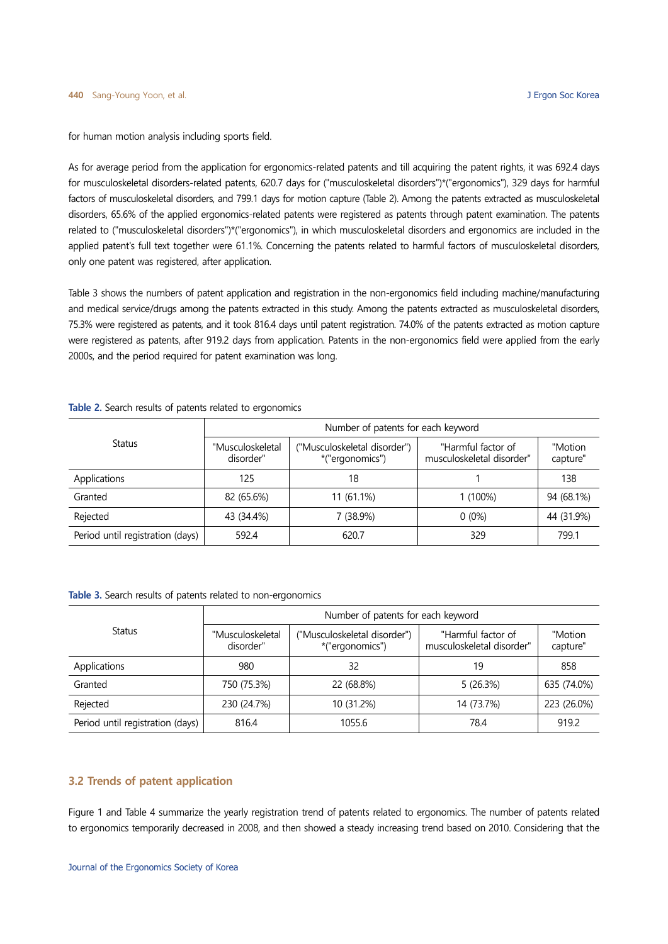for human motion analysis including sports field.

As for average period from the application for ergonomics-related patents and till acquiring the patent rights, it was 692.4 days for musculoskeletal disorders-related patents, 620.7 days for ("musculoskeletal disorders")\*("ergonomics"), 329 days for harmful factors of musculoskeletal disorders, and 799.1 days for motion capture (Table 2). Among the patents extracted as musculoskeletal disorders, 65.6% of the applied ergonomics-related patents were registered as patents through patent examination. The patents related to ("musculoskeletal disorders")\*("ergonomics"), in which musculoskeletal disorders and ergonomics are included in the applied patent's full text together were 61.1%. Concerning the patents related to harmful factors of musculoskeletal disorders, only one patent was registered, after application.

Table 3 shows the numbers of patent application and registration in the non-ergonomics field including machine/manufacturing and medical service/drugs among the patents extracted in this study. Among the patents extracted as musculoskeletal disorders, 75.3% were registered as patents, and it took 816.4 days until patent registration. 74.0% of the patents extracted as motion capture were registered as patents, after 919.2 days from application. Patents in the non-ergonomics field were applied from the early 2000s, and the period required for patent examination was long.

|                                  | Number of patents for each keyword                                               |            |                                                 |                     |  |  |  |
|----------------------------------|----------------------------------------------------------------------------------|------------|-------------------------------------------------|---------------------|--|--|--|
| Status                           | ("Musculoskeletal disorder")<br>"Musculoskeletal<br>*("ergonomics")<br>disorder" |            | "Harmful factor of<br>musculoskeletal disorder" | "Motion<br>capture" |  |  |  |
| Applications                     | 125                                                                              | 18         |                                                 | 138                 |  |  |  |
| Granted                          | 82 (65.6%)                                                                       | 11 (61.1%) | $1(100\%)$                                      | 94 (68.1%)          |  |  |  |
| Rejected                         | 43 (34.4%)                                                                       | 7 (38.9%)  | $0(0\%)$                                        | 44 (31.9%)          |  |  |  |
| Period until registration (days) | 592.4                                                                            | 620.7      | 329                                             | 799.1               |  |  |  |

**Table 2.** Search results of patents related to ergonomics

**Table 3.** Search results of patents related to non-ergonomics

|                                  | Number of patents for each keyword |                                                 |                                                 |                     |  |  |  |
|----------------------------------|------------------------------------|-------------------------------------------------|-------------------------------------------------|---------------------|--|--|--|
| Status                           | "Musculoskeletal<br>disorder"      | ("Musculoskeletal disorder")<br>*("ergonomics") | "Harmful factor of<br>musculoskeletal disorder" | "Motion<br>capture" |  |  |  |
| Applications                     | 980                                | 32                                              | 19                                              | 858                 |  |  |  |
| Granted                          | 750 (75.3%)                        | 22 (68.8%)                                      | 5(26.3%)                                        | 635 (74.0%)         |  |  |  |
| Rejected                         | 230 (24.7%)                        | 10 (31.2%)                                      | 14 (73.7%)                                      | 223 (26.0%)         |  |  |  |
| Period until registration (days) | 816.4                              | 1055.6                                          | 78.4                                            | 919.2               |  |  |  |

## **3.2 Trends of patent application**

Figure 1 and Table 4 summarize the yearly registration trend of patents related to ergonomics. The number of patents related to ergonomics temporarily decreased in 2008, and then showed a steady increasing trend based on 2010. Considering that the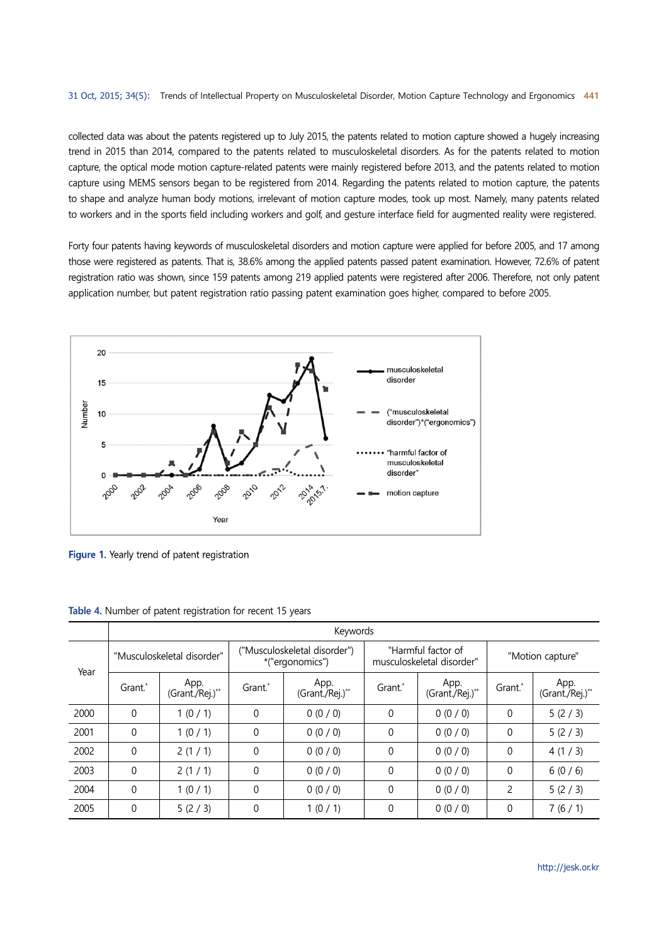collected data was about the patents registered up to July 2015, the patents related to motion capture showed a hugely increasing trend in 2015 than 2014, compared to the patents related to musculoskeletal disorders. As for the patents related to motion capture, the optical mode motion capture-related patents were mainly registered before 2013, and the patents related to motion capture using MEMS sensors began to be registered from 2014. Regarding the patents related to motion capture, the patents to shape and analyze human body motions, irrelevant of motion capture modes, took up most. Namely, many patents related to workers and in the sports field including workers and golf, and gesture interface field for augmented reality were registered.

Forty four patents having keywords of musculoskeletal disorders and motion capture were applied for before 2005, and 17 among those were registered as patents. That is, 38.6% among the applied patents passed patent examination. However, 72.6% of patent registration ratio was shown, since 159 patents among 219 applied patents were registered after 2006. Therefore, not only patent application number, but patent registration ratio passing patent examination goes higher, compared to before 2005.



Figure 1. Yearly trend of patent registration

|      | Keywords                   |                         |                                                 |                         |                                                 |                         |                  |                         |
|------|----------------------------|-------------------------|-------------------------------------------------|-------------------------|-------------------------------------------------|-------------------------|------------------|-------------------------|
| Year | "Musculoskeletal disorder" |                         | ("Musculoskeletal disorder")<br>*("ergonomics") |                         | "Harmful factor of<br>musculoskeletal disorder" |                         | "Motion capture" |                         |
|      | Grant.*                    | App.<br>(Grant./Rej.)** | Grant.*                                         | App.<br>(Grant./Rej.)** | Grant.*                                         | App.<br>(Grant./Rej.)** | Grant.*          | App.<br>(Grant./Rej.)** |
| 2000 | $\theta$                   | 1(0/1)                  | $\mathbf 0$                                     | 0(0/0)                  | 0                                               | 0(0/0)                  | $\theta$         | 5(2/3)                  |
| 2001 | $\theta$                   | 1(0/1)                  | $\mathbf 0$                                     | 0(0/0)                  | $\mathbf 0$                                     | 0(0/0)                  | 0                | 5(2/3)                  |
| 2002 | $\theta$                   | 2(1/1)                  | $\mathbf 0$                                     | 0(0/0)                  | $\mathbf 0$                                     | 0(0/0)                  | $\theta$         | 4(1/3)                  |
| 2003 | $\theta$                   | 2(1/1)                  | $\mathbf 0$                                     | 0(0/0)                  | $\mathbf 0$                                     | 0(0/0)                  | $\mathbf{0}$     | 6(0/6)                  |
| 2004 | $\theta$                   | 1(0/1)                  | $\mathbf 0$                                     | 0(0/0)                  | $\theta$                                        | 0(0/0)                  | 2                | 5(2/3)                  |
| 2005 | $\Omega$                   | 5(2/3)                  | $\mathbf 0$                                     | 1(0/1)                  | 0                                               | 0(0/0)                  | $\theta$         | 7(6/1)                  |

**Table 4.** Number of patent registration for recent 15 years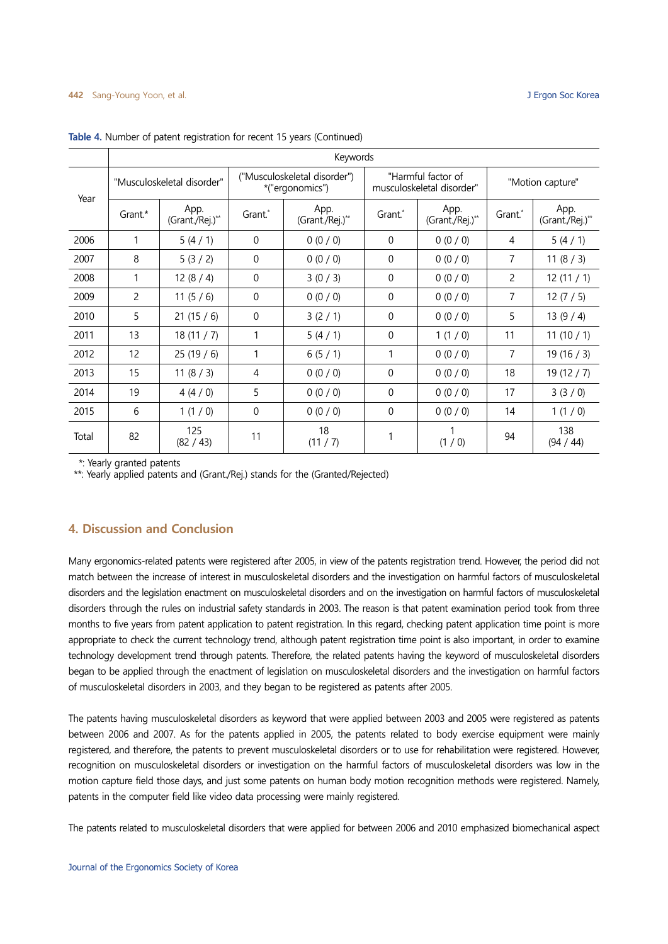|       | Keywords                   |                         |                                                 |                         |                                                 |                         |                  |                         |
|-------|----------------------------|-------------------------|-------------------------------------------------|-------------------------|-------------------------------------------------|-------------------------|------------------|-------------------------|
| Year  | "Musculoskeletal disorder" |                         | ("Musculoskeletal disorder")<br>*("ergonomics") |                         | "Harmful factor of<br>musculoskeletal disorder" |                         | "Motion capture" |                         |
|       | Grant.*                    | App.<br>(Grant./Rej.)** | Grant.*                                         | App.<br>(Grant./Rej.)** | Grant.*                                         | App.<br>(Grant./Rej.)** | Grant.*          | App.<br>(Grant./Rej.)** |
| 2006  | 1                          | 5(4/1)                  | 0                                               | 0(0/0)                  | $\Omega$                                        | 0(0/0)                  | 4                | 5(4/1)                  |
| 2007  | 8                          | 5(3/2)                  | 0                                               | 0(0/0)                  | $\Omega$                                        | 0(0/0)                  | 7                | 11(8/3)                 |
| 2008  | 1                          | 12 $(8/4)$              | $\Omega$                                        | 3(0/3)                  | $\Omega$                                        | 0(0/0)                  | 2                | 12(11/1)                |
| 2009  | $\overline{2}$             | 11 $(5/6)$              | $\mathbf{0}$                                    | 0(0/0)                  | $\theta$                                        | 0(0/0)                  | 7                | 12(7/5)                 |
| 2010  | 5                          | 21(15/6)                | 0                                               | 3(2/1)                  | $\Omega$                                        | 0(0/0)                  | 5                | 13(9/4)                 |
| 2011  | 13                         | 18(11/7)                | 1                                               | 5(4/1)                  | $\Omega$                                        | 1(1/0)                  | 11               | 11(10/1)                |
| 2012  | 12                         | 25(19/6)                |                                                 | 6(5/1)                  | 1                                               | 0(0/0)                  | 7                | 19(16/3)                |
| 2013  | 15                         | 11 $(8 / 3)$            | 4                                               | 0(0/0)                  | $\Omega$                                        | 0(0/0)                  | 18               | 19(12/7)                |
| 2014  | 19                         | 4(4/0)                  | 5                                               | 0(0/0)                  | $\Omega$                                        | 0(0/0)                  | 17               | 3(3/0)                  |
| 2015  | 6                          | 1(1/0)                  | $\Omega$                                        | 0(0/0)                  | $\Omega$                                        | 0(0/0)                  | 14               | 1(1/0)                  |
| Total | 82                         | 125<br>(82 / 43)        | 11                                              | 18<br>(11 / 7)          | 1                                               | (1/0)                   | 94               | 138<br>(94 / 44)        |

Table 4. Number of patent registration for recent 15 years (Continued)

\*: Yearly granted patents

\*\*: Yearly applied patents and (Grant./Rej.) stands for the (Granted/Rejected)

# **4. Discussion and Conclusion**

Many ergonomics-related patents were registered after 2005, in view of the patents registration trend. However, the period did not match between the increase of interest in musculoskeletal disorders and the investigation on harmful factors of musculoskeletal disorders and the legislation enactment on musculoskeletal disorders and on the investigation on harmful factors of musculoskeletal disorders through the rules on industrial safety standards in 2003. The reason is that patent examination period took from three months to five years from patent application to patent registration. In this regard, checking patent application time point is more appropriate to check the current technology trend, although patent registration time point is also important, in order to examine technology development trend through patents. Therefore, the related patents having the keyword of musculoskeletal disorders began to be applied through the enactment of legislation on musculoskeletal disorders and the investigation on harmful factors of musculoskeletal disorders in 2003, and they began to be registered as patents after 2005.

The patents having musculoskeletal disorders as keyword that were applied between 2003 and 2005 were registered as patents between 2006 and 2007. As for the patents applied in 2005, the patents related to body exercise equipment were mainly registered, and therefore, the patents to prevent musculoskeletal disorders or to use for rehabilitation were registered. However, recognition on musculoskeletal disorders or investigation on the harmful factors of musculoskeletal disorders was low in the motion capture field those days, and just some patents on human body motion recognition methods were registered. Namely, patents in the computer field like video data processing were mainly registered.

The patents related to musculoskeletal disorders that were applied for between 2006 and 2010 emphasized biomechanical aspect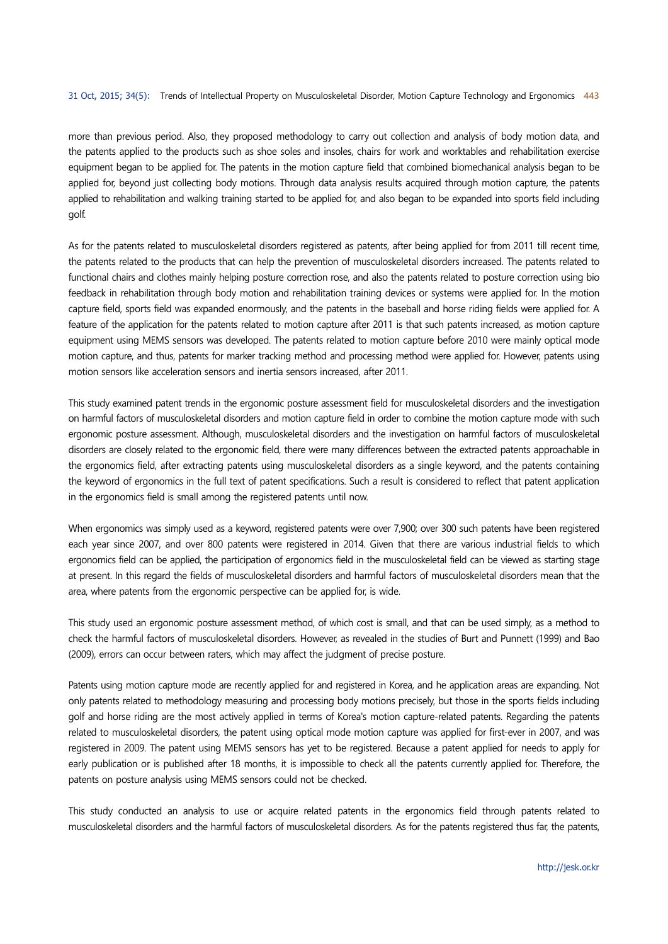more than previous period. Also, they proposed methodology to carry out collection and analysis of body motion data, and the patents applied to the products such as shoe soles and insoles, chairs for work and worktables and rehabilitation exercise equipment began to be applied for. The patents in the motion capture field that combined biomechanical analysis began to be applied for, beyond just collecting body motions. Through data analysis results acquired through motion capture, the patents applied to rehabilitation and walking training started to be applied for, and also began to be expanded into sports field including golf.

As for the patents related to musculoskeletal disorders registered as patents, after being applied for from 2011 till recent time, the patents related to the products that can help the prevention of musculoskeletal disorders increased. The patents related to functional chairs and clothes mainly helping posture correction rose, and also the patents related to posture correction using bio feedback in rehabilitation through body motion and rehabilitation training devices or systems were applied for. In the motion capture field, sports field was expanded enormously, and the patents in the baseball and horse riding fields were applied for. A feature of the application for the patents related to motion capture after 2011 is that such patents increased, as motion capture equipment using MEMS sensors was developed. The patents related to motion capture before 2010 were mainly optical mode motion capture, and thus, patents for marker tracking method and processing method were applied for. However, patents using motion sensors like acceleration sensors and inertia sensors increased, after 2011.

This study examined patent trends in the ergonomic posture assessment field for musculoskeletal disorders and the investigation on harmful factors of musculoskeletal disorders and motion capture field in order to combine the motion capture mode with such ergonomic posture assessment. Although, musculoskeletal disorders and the investigation on harmful factors of musculoskeletal disorders are closely related to the ergonomic field, there were many differences between the extracted patents approachable in the ergonomics field, after extracting patents using musculoskeletal disorders as a single keyword, and the patents containing the keyword of ergonomics in the full text of patent specifications. Such a result is considered to reflect that patent application in the ergonomics field is small among the registered patents until now.

When ergonomics was simply used as a keyword, registered patents were over 7,900; over 300 such patents have been registered each year since 2007, and over 800 patents were registered in 2014. Given that there are various industrial fields to which ergonomics field can be applied, the participation of ergonomics field in the musculoskeletal field can be viewed as starting stage at present. In this regard the fields of musculoskeletal disorders and harmful factors of musculoskeletal disorders mean that the area, where patents from the ergonomic perspective can be applied for, is wide.

This study used an ergonomic posture assessment method, of which cost is small, and that can be used simply, as a method to check the harmful factors of musculoskeletal disorders. However, as revealed in the studies of Burt and Punnett (1999) and Bao (2009), errors can occur between raters, which may affect the judgment of precise posture.

Patents using motion capture mode are recently applied for and registered in Korea, and he application areas are expanding. Not only patents related to methodology measuring and processing body motions precisely, but those in the sports fields including golf and horse riding are the most actively applied in terms of Korea's motion capture-related patents. Regarding the patents related to musculoskeletal disorders, the patent using optical mode motion capture was applied for first-ever in 2007, and was registered in 2009. The patent using MEMS sensors has yet to be registered. Because a patent applied for needs to apply for early publication or is published after 18 months, it is impossible to check all the patents currently applied for. Therefore, the patents on posture analysis using MEMS sensors could not be checked.

This study conducted an analysis to use or acquire related patents in the ergonomics field through patents related to musculoskeletal disorders and the harmful factors of musculoskeletal disorders. As for the patents registered thus far, the patents,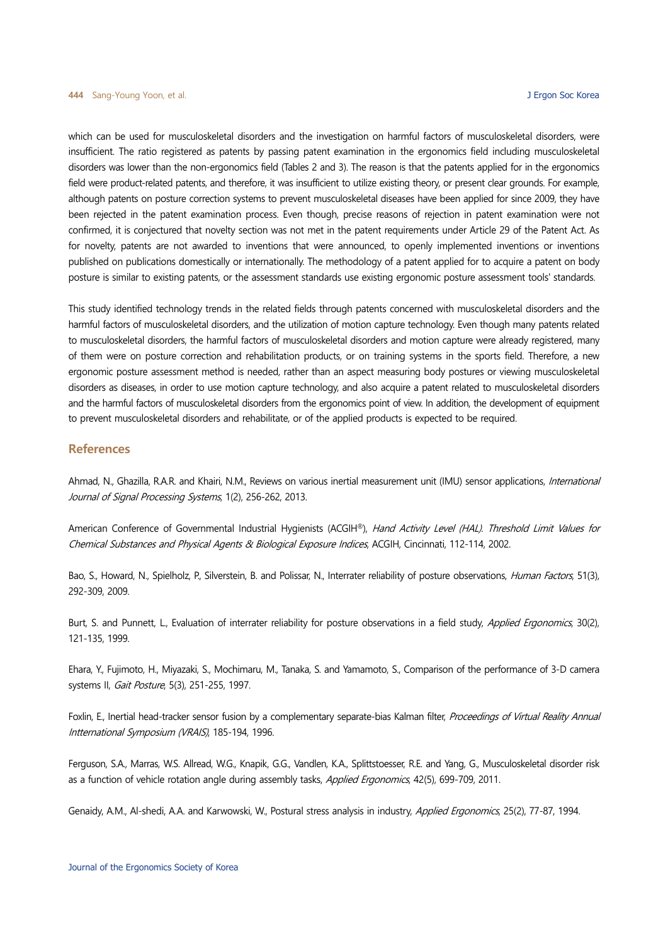which can be used for musculoskeletal disorders and the investigation on harmful factors of musculoskeletal disorders, were insufficient. The ratio registered as patents by passing patent examination in the ergonomics field including musculoskeletal disorders was lower than the non-ergonomics field (Tables 2 and 3). The reason is that the patents applied for in the ergonomics field were product-related patents, and therefore, it was insufficient to utilize existing theory, or present clear grounds. For example, although patents on posture correction systems to prevent musculoskeletal diseases have been applied for since 2009, they have been rejected in the patent examination process. Even though, precise reasons of rejection in patent examination were not confirmed, it is conjectured that novelty section was not met in the patent requirements under Article 29 of the Patent Act. As for novelty, patents are not awarded to inventions that were announced, to openly implemented inventions or inventions published on publications domestically or internationally. The methodology of a patent applied for to acquire a patent on body posture is similar to existing patents, or the assessment standards use existing ergonomic posture assessment tools' standards.

This study identified technology trends in the related fields through patents concerned with musculoskeletal disorders and the harmful factors of musculoskeletal disorders, and the utilization of motion capture technology. Even though many patents related to musculoskeletal disorders, the harmful factors of musculoskeletal disorders and motion capture were already registered, many of them were on posture correction and rehabilitation products, or on training systems in the sports field. Therefore, a new ergonomic posture assessment method is needed, rather than an aspect measuring body postures or viewing musculoskeletal disorders as diseases, in order to use motion capture technology, and also acquire a patent related to musculoskeletal disorders and the harmful factors of musculoskeletal disorders from the ergonomics point of view. In addition, the development of equipment to prevent musculoskeletal disorders and rehabilitate, or of the applied products is expected to be required.

#### **References**

Ahmad, N., Ghazilla, R.A.R. and Khairi, N.M., Reviews on various inertial measurement unit (IMU) sensor applications, International Journal of Signal Processing Systems, 1(2), 256-262, 2013.

American Conference of Governmental Industrial Hygienists (ACGIH®), Hand Activity Level (HAL). Threshold Limit Values for Chemical Substances and Physical Agents & Biological Exposure Indices, ACGIH, Cincinnati, 112-114, 2002.

Bao, S., Howard, N., Spielholz, P., Silverstein, B. and Polissar, N., Interrater reliability of posture observations, *Human Factors*, 51(3), 292-309, 2009.

Burt, S. and Punnett, L., Evaluation of interrater reliability for posture observations in a field study, Applied Ergonomics, 30(2), 121-135, 1999.

Ehara, Y., Fujimoto, H., Miyazaki, S., Mochimaru, M., Tanaka, S. and Yamamoto, S., Comparison of the performance of 3-D camera systems II, *Gait Posture*, 5(3), 251-255, 1997.

Foxlin, E., Inertial head-tracker sensor fusion by a complementary separate-bias Kalman filter, Proceedings of Virtual Reality Annual Intternational Symposium (VRAIS), 185-194, 1996.

Ferguson, S.A., Marras, W.S. Allread, W.G., Knapik, G.G., Vandlen, K.A., Splittstoesser, R.E. and Yang, G., Musculoskeletal disorder risk as a function of vehicle rotation angle during assembly tasks, Applied Ergonomics, 42(5), 699-709, 2011.

Genaidy, A.M., Al-shedi, A.A. and Karwowski, W., Postural stress analysis in industry, Applied Ergonomics, 25(2), 77-87, 1994.